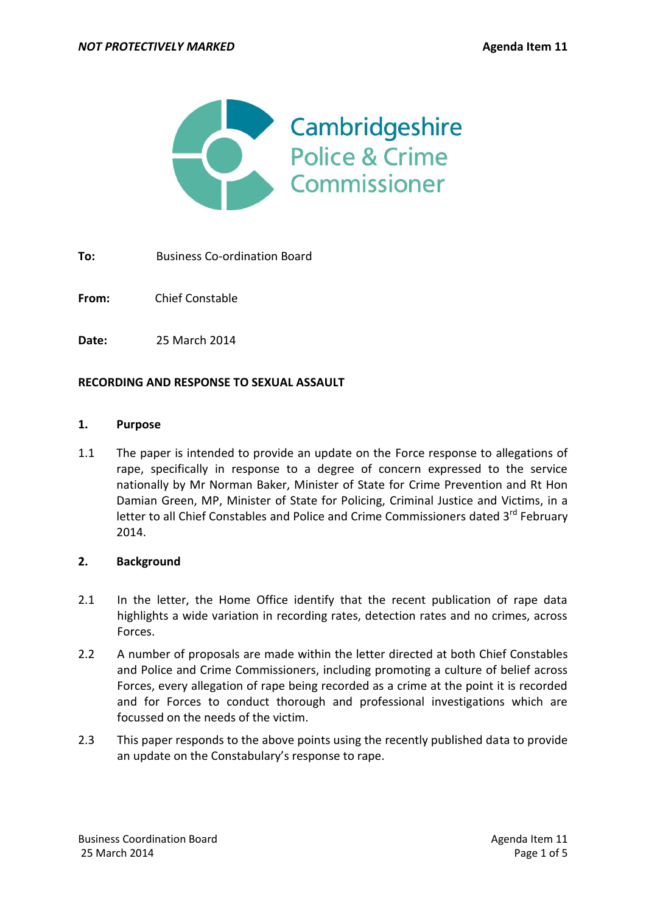

**To:** Business Co-ordination Board

**From:** Chief Constable

**Date:** 25 March 2014

### **RECORDING AND RESPONSE TO SEXUAL ASSAULT**

#### **1. Purpose**

1.1 The paper is intended to provide an update on the Force response to allegations of rape, specifically in response to a degree of concern expressed to the service nationally by Mr Norman Baker, Minister of State for Crime Prevention and Rt Hon Damian Green, MP, Minister of State for Policing, Criminal Justice and Victims, in a letter to all Chief Constables and Police and Crime Commissioners dated 3<sup>rd</sup> February 2014.

### **2. Background**

- 2.1 In the letter, the Home Office identify that the recent publication of rape data highlights a wide variation in recording rates, detection rates and no crimes, across Forces.
- 2.2 A number of proposals are made within the letter directed at both Chief Constables and Police and Crime Commissioners, including promoting a culture of belief across Forces, every allegation of rape being recorded as a crime at the point it is recorded and for Forces to conduct thorough and professional investigations which are focussed on the needs of the victim.
- 2.3 This paper responds to the above points using the recently published data to provide an update on the Constabulary's response to rape.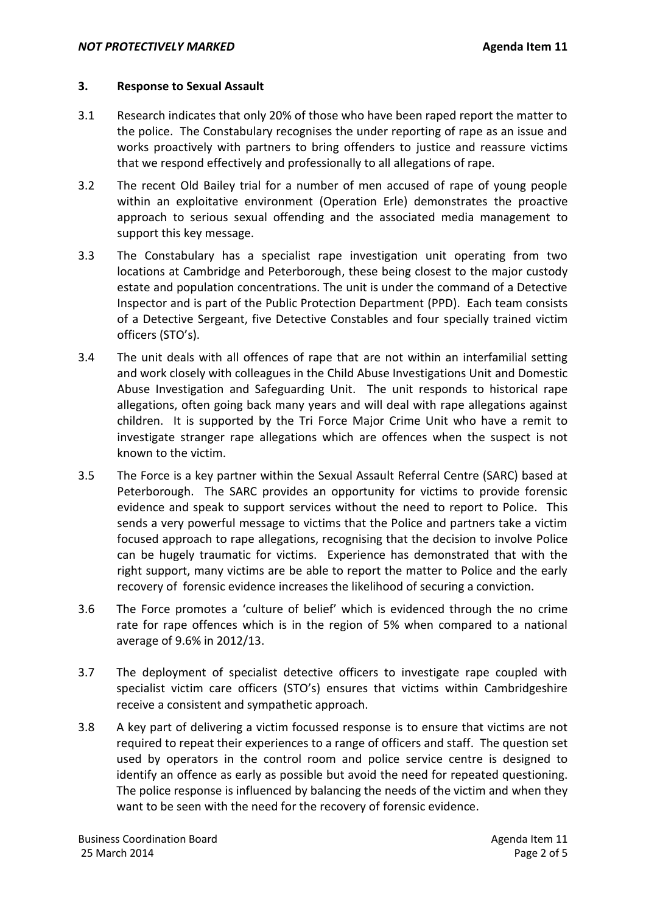### **3. Response to Sexual Assault**

- 3.1 Research indicates that only 20% of those who have been raped report the matter to the police. The Constabulary recognises the under reporting of rape as an issue and works proactively with partners to bring offenders to justice and reassure victims that we respond effectively and professionally to all allegations of rape.
- 3.2 The recent Old Bailey trial for a number of men accused of rape of young people within an exploitative environment (Operation Erle) demonstrates the proactive approach to serious sexual offending and the associated media management to support this key message.
- 3.3 The Constabulary has a specialist rape investigation unit operating from two locations at Cambridge and Peterborough, these being closest to the major custody estate and population concentrations. The unit is under the command of a Detective Inspector and is part of the Public Protection Department (PPD). Each team consists of a Detective Sergeant, five Detective Constables and four specially trained victim officers (STO's).
- 3.4 The unit deals with all offences of rape that are not within an interfamilial setting and work closely with colleagues in the Child Abuse Investigations Unit and Domestic Abuse Investigation and Safeguarding Unit. The unit responds to historical rape allegations, often going back many years and will deal with rape allegations against children. It is supported by the Tri Force Major Crime Unit who have a remit to investigate stranger rape allegations which are offences when the suspect is not known to the victim.
- 3.5 The Force is a key partner within the Sexual Assault Referral Centre (SARC) based at Peterborough. The SARC provides an opportunity for victims to provide forensic evidence and speak to support services without the need to report to Police. This sends a very powerful message to victims that the Police and partners take a victim focused approach to rape allegations, recognising that the decision to involve Police can be hugely traumatic for victims. Experience has demonstrated that with the right support, many victims are be able to report the matter to Police and the early recovery of forensic evidence increases the likelihood of securing a conviction.
- 3.6 The Force promotes a 'culture of belief' which is evidenced through the no crime rate for rape offences which is in the region of 5% when compared to a national average of 9.6% in 2012/13.
- 3.7 The deployment of specialist detective officers to investigate rape coupled with specialist victim care officers (STO's) ensures that victims within Cambridgeshire receive a consistent and sympathetic approach.
- 3.8 A key part of delivering a victim focussed response is to ensure that victims are not required to repeat their experiences to a range of officers and staff. The question set used by operators in the control room and police service centre is designed to identify an offence as early as possible but avoid the need for repeated questioning. The police response is influenced by balancing the needs of the victim and when they want to be seen with the need for the recovery of forensic evidence.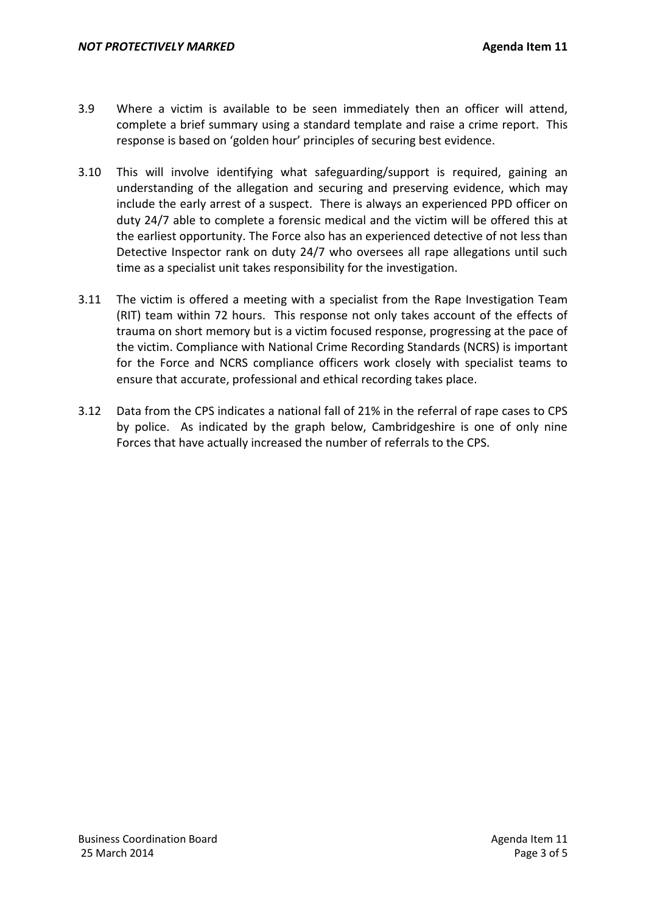- 3.9 Where a victim is available to be seen immediately then an officer will attend, complete a brief summary using a standard template and raise a crime report. This response is based on 'golden hour' principles of securing best evidence.
- 3.10 This will involve identifying what safeguarding/support is required, gaining an understanding of the allegation and securing and preserving evidence, which may include the early arrest of a suspect. There is always an experienced PPD officer on duty 24/7 able to complete a forensic medical and the victim will be offered this at the earliest opportunity. The Force also has an experienced detective of not less than Detective Inspector rank on duty 24/7 who oversees all rape allegations until such time as a specialist unit takes responsibility for the investigation.
- 3.11 The victim is offered a meeting with a specialist from the Rape Investigation Team (RIT) team within 72 hours. This response not only takes account of the effects of trauma on short memory but is a victim focused response, progressing at the pace of the victim. Compliance with National Crime Recording Standards (NCRS) is important for the Force and NCRS compliance officers work closely with specialist teams to ensure that accurate, professional and ethical recording takes place.
- 3.12 Data from the CPS indicates a national fall of 21% in the referral of rape cases to CPS by police. As indicated by the graph below, Cambridgeshire is one of only nine Forces that have actually increased the number of referrals to the CPS.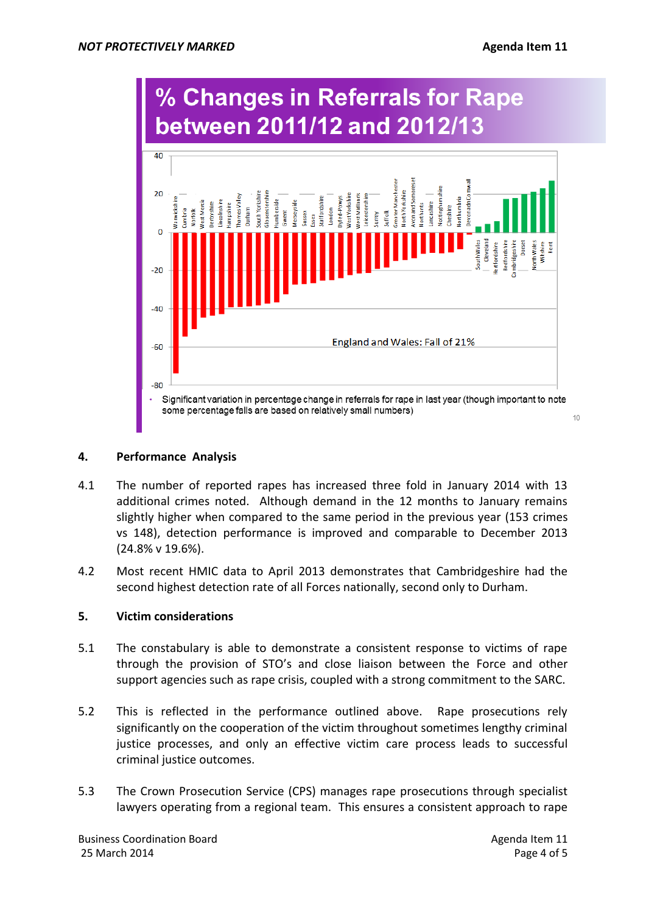

# **4. Performance Analysis**

- 4.1 The number of reported rapes has increased three fold in January 2014 with 13 additional crimes noted. Although demand in the 12 months to January remains slightly higher when compared to the same period in the previous year (153 crimes vs 148), detection performance is improved and comparable to December 2013 (24.8% v 19.6%).
- 4.2 Most recent HMIC data to April 2013 demonstrates that Cambridgeshire had the second highest detection rate of all Forces nationally, second only to Durham.

# **5. Victim considerations**

- 5.1 The constabulary is able to demonstrate a consistent response to victims of rape through the provision of STO's and close liaison between the Force and other support agencies such as rape crisis, coupled with a strong commitment to the SARC.
- 5.2 This is reflected in the performance outlined above. Rape prosecutions rely significantly on the cooperation of the victim throughout sometimes lengthy criminal justice processes, and only an effective victim care process leads to successful criminal justice outcomes.
- 5.3 The Crown Prosecution Service (CPS) manages rape prosecutions through specialist lawyers operating from a regional team. This ensures a consistent approach to rape